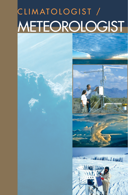# CLIMATOLOGIST / METEOROLOGIST